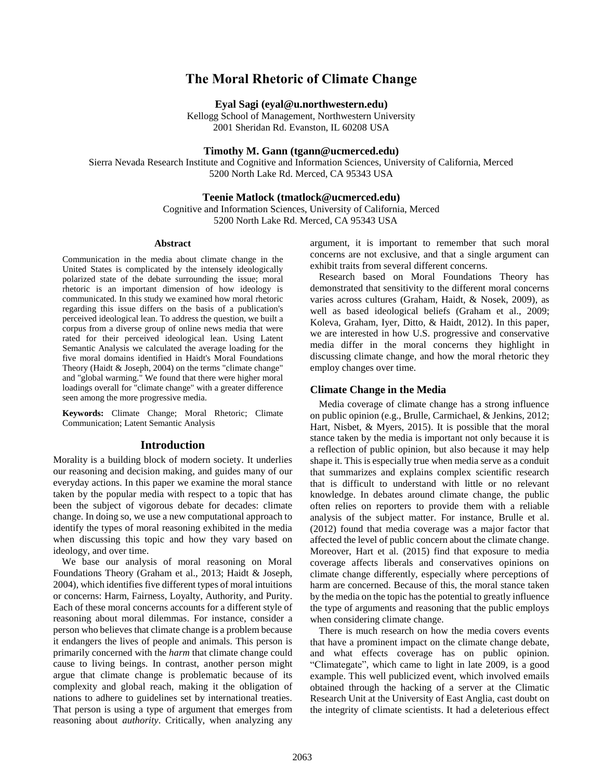# **The Moral Rhetoric of Climate Change**

**Eyal Sagi (eyal@u.northwestern.edu)**

Kellogg School of Management, Northwestern University 2001 Sheridan Rd. Evanston, IL 60208 USA

**Timothy M. Gann (tgann@ucmerced.edu)**

Sierra Nevada Research Institute and Cognitive and Information Sciences, University of California, Merced 5200 North Lake Rd. Merced, CA 95343 USA

#### **Teenie Matlock (tmatlock@ucmerced.edu)**

Cognitive and Information Sciences, University of California, Merced 5200 North Lake Rd. Merced, CA 95343 USA

#### **Abstract**

Communication in the media about climate change in the United States is complicated by the intensely ideologically polarized state of the debate surrounding the issue; moral rhetoric is an important dimension of how ideology is communicated. In this study we examined how moral rhetoric regarding this issue differs on the basis of a publication's perceived ideological lean. To address the question, we built a corpus from a diverse group of online news media that were rated for their perceived ideological lean. Using Latent Semantic Analysis we calculated the average loading for the five moral domains identified in Haidt's Moral Foundations Theory (Haidt & Joseph, 2004) on the terms "climate change" and "global warming." We found that there were higher moral loadings overall for "climate change" with a greater difference seen among the more progressive media.

**Keywords:** Climate Change; Moral Rhetoric; Climate Communication; Latent Semantic Analysis

### **Introduction**

Morality is a building block of modern society. It underlies our reasoning and decision making, and guides many of our everyday actions. In this paper we examine the moral stance taken by the popular media with respect to a topic that has been the subject of vigorous debate for decades: climate change. In doing so, we use a new computational approach to identify the types of moral reasoning exhibited in the media when discussing this topic and how they vary based on ideology, and over time.

We base our analysis of moral reasoning on Moral Foundations Theory (Graham et al., 2013; Haidt & Joseph, 2004), which identifies five different types of moral intuitions or concerns: Harm, Fairness, Loyalty, Authority, and Purity. Each of these moral concerns accounts for a different style of reasoning about moral dilemmas. For instance, consider a person who believes that climate change is a problem because it endangers the lives of people and animals. This person is primarily concerned with the *harm* that climate change could cause to living beings. In contrast, another person might argue that climate change is problematic because of its complexity and global reach, making it the obligation of nations to adhere to guidelines set by international treaties. That person is using a type of argument that emerges from reasoning about *authority*. Critically, when analyzing any

argument, it is important to remember that such moral concerns are not exclusive, and that a single argument can exhibit traits from several different concerns.

Research based on Moral Foundations Theory has demonstrated that sensitivity to the different moral concerns varies across cultures (Graham, Haidt, & Nosek, 2009), as well as based ideological beliefs (Graham et al., 2009; Koleva, Graham, Iyer, Ditto, & Haidt, 2012). In this paper, we are interested in how U.S. progressive and conservative media differ in the moral concerns they highlight in discussing climate change, and how the moral rhetoric they employ changes over time.

#### **Climate Change in the Media**

Media coverage of climate change has a strong influence on public opinion (e.g., Brulle, Carmichael, & Jenkins, 2012; Hart, Nisbet, & Myers, 2015). It is possible that the moral stance taken by the media is important not only because it is a reflection of public opinion, but also because it may help shape it. This is especially true when media serve as a conduit that summarizes and explains complex scientific research that is difficult to understand with little or no relevant knowledge. In debates around climate change, the public often relies on reporters to provide them with a reliable analysis of the subject matter. For instance, Brulle et al. (2012) found that media coverage was a major factor that affected the level of public concern about the climate change. Moreover, Hart et al. (2015) find that exposure to media coverage affects liberals and conservatives opinions on climate change differently, especially where perceptions of harm are concerned. Because of this, the moral stance taken by the media on the topic has the potential to greatly influence the type of arguments and reasoning that the public employs when considering climate change.

There is much research on how the media covers events that have a prominent impact on the climate change debate, and what effects coverage has on public opinion. "Climategate", which came to light in late 2009, is a good example. This well publicized event, which involved emails obtained through the hacking of a server at the Climatic Research Unit at the University of East Anglia, cast doubt on the integrity of climate scientists. It had a deleterious effect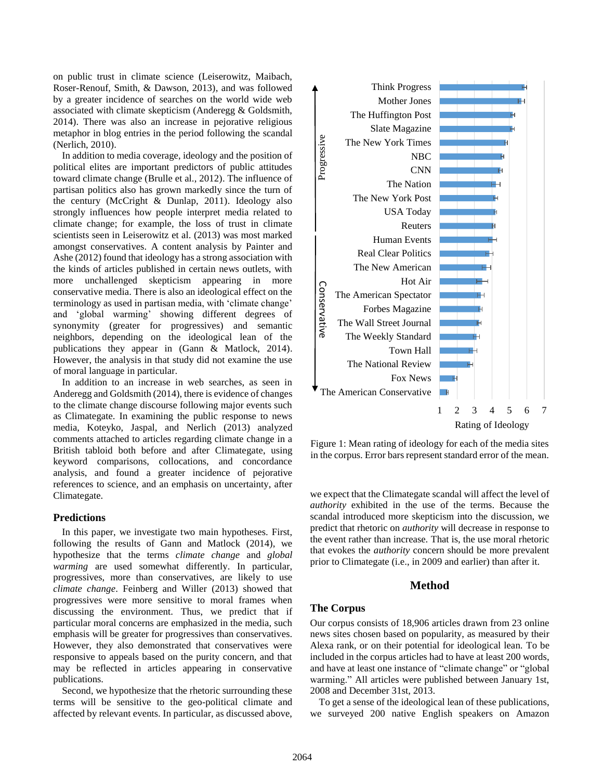on public trust in climate science (Leiserowitz, Maibach, Roser-Renouf, Smith, & Dawson, 2013), and was followed by a greater incidence of searches on the world wide web associated with climate skepticism (Anderegg & Goldsmith, 2014). There was also an increase in pejorative religious metaphor in blog entries in the period following the scandal (Nerlich, 2010).

In addition to media coverage, ideology and the position of political elites are important predictors of public attitudes toward climate change (Brulle et al., 2012). The influence of partisan politics also has grown markedly since the turn of the century (McCright & Dunlap, 2011). Ideology also strongly influences how people interpret media related to climate change; for example, the loss of trust in climate scientists seen in Leiserowitz et al. (2013) was most marked amongst conservatives. A content analysis by Painter and Ashe (2012) found that ideology has a strong association with the kinds of articles published in certain news outlets, with more unchallenged skepticism appearing in more conservative media. There is also an ideological effect on the terminology as used in partisan media, with 'climate change' and 'global warming' showing different degrees of synonymity (greater for progressives) and semantic neighbors, depending on the ideological lean of the publications they appear in (Gann & Matlock, 2014). However, the analysis in that study did not examine the use of moral language in particular.

In addition to an increase in web searches, as seen in Anderegg and Goldsmith (2014), there is evidence of changes to the climate change discourse following major events such as Climategate. In examining the public response to news media, Koteyko, Jaspal, and Nerlich (2013) analyzed comments attached to articles regarding climate change in a British tabloid both before and after Climategate, using keyword comparisons, collocations, and concordance analysis, and found a greater incidence of pejorative references to science, and an emphasis on uncertainty, after Climategate.

#### **Predictions**

In this paper, we investigate two main hypotheses. First, following the results of Gann and Matlock (2014), we hypothesize that the terms *climate change* and *global warming* are used somewhat differently. In particular, progressives, more than conservatives, are likely to use *climate change*. Feinberg and Willer (2013) showed that progressives were more sensitive to moral frames when discussing the environment. Thus, we predict that if particular moral concerns are emphasized in the media, such emphasis will be greater for progressives than conservatives. However, they also demonstrated that conservatives were responsive to appeals based on the purity concern, and that may be reflected in articles appearing in conservative publications.

Second, we hypothesize that the rhetoric surrounding these terms will be sensitive to the geo-political climate and affected by relevant events. In particular, as discussed above,



Figure 1: Mean rating of ideology for each of the media sites in the corpus. Error bars represent standard error of the mean.

we expect that the Climategate scandal will affect the level of *authority* exhibited in the use of the terms. Because the scandal introduced more skepticism into the discussion, we predict that rhetoric on *authority* will decrease in response to the event rather than increase. That is, the use moral rhetoric that evokes the *authority* concern should be more prevalent prior to Climategate (i.e., in 2009 and earlier) than after it.

## **Method**

#### **The Corpus**

Our corpus consists of 18,906 articles drawn from 23 online news sites chosen based on popularity, as measured by their Alexa rank, or on their potential for ideological lean. To be included in the corpus articles had to have at least 200 words, and have at least one instance of "climate change" or "global warming." All articles were published between January 1st, 2008 and December 31st, 2013.

To get a sense of the ideological lean of these publications, we surveyed 200 native English speakers on Amazon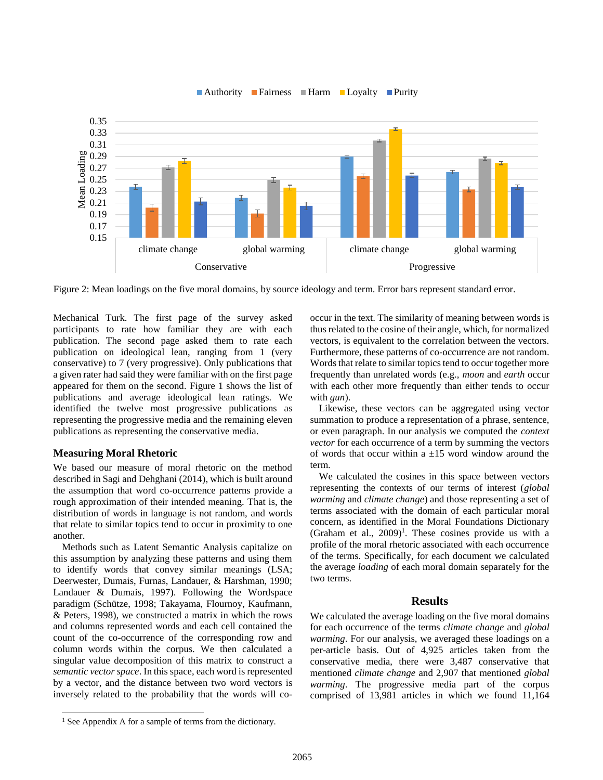

#### ■ Authority ■ Fairness ■ Harm ■ Loyalty ■ Purity

<span id="page-2-0"></span>Figure 2: Mean loadings on the five moral domains, by source ideology and term. Error bars represent standard error.

Mechanical Turk. The first page of the survey asked participants to rate how familiar they are with each publication. The second page asked them to rate each publication on ideological lean, ranging from 1 (very conservative) to 7 (very progressive). Only publications that a given rater had said they were familiar with on the first page appeared for them on the second. Figure 1 shows the list of publications and average ideological lean ratings. We identified the twelve most progressive publications as representing the progressive media and the remaining eleven publications as representing the conservative media.

#### **Measuring Moral Rhetoric**

 $\overline{a}$ 

We based our measure of moral rhetoric on the method described in Sagi and Dehghani (2014), which is built around the assumption that word co-occurrence patterns provide a rough approximation of their intended meaning. That is, the distribution of words in language is not random, and words that relate to similar topics tend to occur in proximity to one another.

Methods such as Latent Semantic Analysis capitalize on this assumption by analyzing these patterns and using them to identify words that convey similar meanings (LSA; Deerwester, Dumais, Furnas, Landauer, & Harshman, 1990; Landauer & Dumais, 1997). Following the Wordspace paradigm (Schütze, 1998; Takayama, Flournoy, Kaufmann, & Peters, 1998), we constructed a matrix in which the rows and columns represented words and each cell contained the count of the co-occurrence of the corresponding row and column words within the corpus. We then calculated a singular value decomposition of this matrix to construct a *semantic vector space*. In this space, each word is represented by a vector, and the distance between two word vectors is inversely related to the probability that the words will cooccur in the text. The similarity of meaning between words is thus related to the cosine of their angle, which, for normalized vectors, is equivalent to the correlation between the vectors. Furthermore, these patterns of co-occurrence are not random. Words that relate to similar topics tend to occur together more frequently than unrelated words (e.g., *moon* and *earth* occur with each other more frequently than either tends to occur with *gun*).

Likewise, these vectors can be aggregated using vector summation to produce a representation of a phrase, sentence, or even paragraph. In our analysis we computed the *context vector* for each occurrence of a term by summing the vectors of words that occur within a  $\pm 15$  word window around the term.

We calculated the cosines in this space between vectors representing the contexts of our terms of interest (*global warming* and *climate change*) and those representing a set of terms associated with the domain of each particular moral concern, as identified in the Moral Foundations Dictionary (Graham et al.,  $2009$ <sup>1</sup>. These cosines provide us with a profile of the moral rhetoric associated with each occurrence of the terms. Specifically, for each document we calculated the average *loading* of each moral domain separately for the two terms.

## **Results**

We calculated the average loading on the five moral domains for each occurrence of the terms *climate change* and *global warming*. For our analysis, we averaged these loadings on a per-article basis. Out of 4,925 articles taken from the conservative media, there were 3,487 conservative that mentioned *climate change* and 2,907 that mentioned *global warming*. The progressive media part of the corpus comprised of 13,981 articles in which we found 11,164

<sup>&</sup>lt;sup>1</sup> See Appendix A for a sample of terms from the dictionary.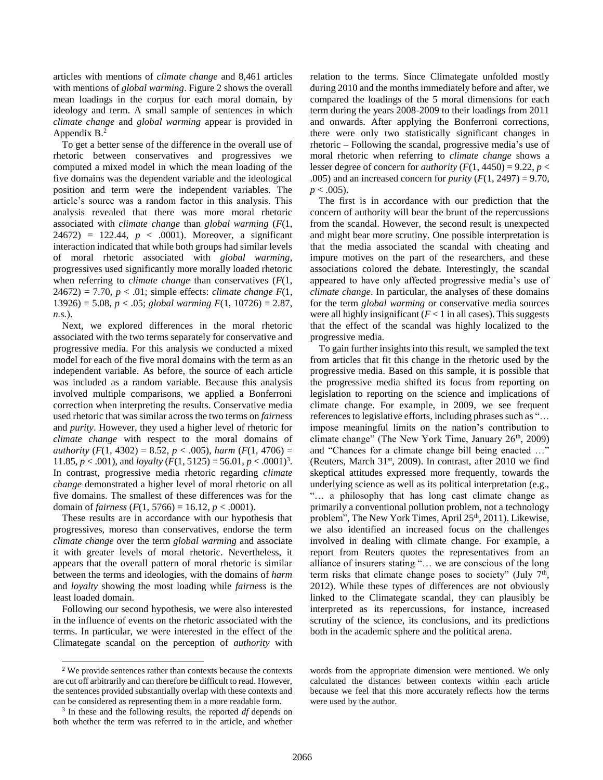articles with mentions of *climate change* and 8,461 articles with mentions of *global warming*. [Figure 2](#page-2-0) shows the overall mean loadings in the corpus for each moral domain, by ideology and term. A small sample of sentences in which *climate change* and *global warming* appear is provided in Appendix B. 2

To get a better sense of the difference in the overall use of rhetoric between conservatives and progressives we computed a mixed model in which the mean loading of the five domains was the dependent variable and the ideological position and term were the independent variables. The article's source was a random factor in this analysis. This analysis revealed that there was more moral rhetoric associated with *climate change* than *global warming* (*F*(1,  $24672$ ) = 122.44,  $p < .0001$ ). Moreover, a significant interaction indicated that while both groups had similar levels of moral rhetoric associated with *global warming*, progressives used significantly more morally loaded rhetoric when referring to *climate change* than conservatives (*F*(1, 24672) = 7.70, *p* < .01; simple effects: *climate change F*(1, 13926) = 5.08, *p* < .05; *global warming F*(1, 10726) = 2.87, *n.s.*).

Next, we explored differences in the moral rhetoric associated with the two terms separately for conservative and progressive media. For this analysis we conducted a mixed model for each of the five moral domains with the term as an independent variable. As before, the source of each article was included as a random variable. Because this analysis involved multiple comparisons, we applied a Bonferroni correction when interpreting the results. Conservative media used rhetoric that was similar across the two terms on *fairness*  and *purity*. However, they used a higher level of rhetoric for *climate change* with respect to the moral domains of *authority* ( $F(1, 4302) = 8.52, p < .005$ ), *harm* ( $F(1, 4706) =$ 11.85,  $p < .001$ ), and *loyalty*  $(F(1, 5125) = 56.01, p < .0001)^3$ . In contrast, progressive media rhetoric regarding *climate change* demonstrated a higher level of moral rhetoric on all five domains. The smallest of these differences was for the domain of *fairness*  $(F(1, 5766) = 16.12, p < .0001)$ .

These results are in accordance with our hypothesis that progressives, moreso than conservatives, endorse the term *climate change* over the term *global warming* and associate it with greater levels of moral rhetoric. Nevertheless, it appears that the overall pattern of moral rhetoric is similar between the terms and ideologies, with the domains of *harm* and *loyalty* showing the most loading while *fairness* is the least loaded domain.

Following our second hypothesis, we were also interested in the influence of events on the rhetoric associated with the terms. In particular, we were interested in the effect of the Climategate scandal on the perception of *authority* with

 $\overline{a}$ 

relation to the terms. Since Climategate unfolded mostly during 2010 and the months immediately before and after, we compared the loadings of the 5 moral dimensions for each term during the years 2008-2009 to their loadings from 2011 and onwards. After applying the Bonferroni corrections, there were only two statistically significant changes in rhetoric – Following the scandal, progressive media's use of moral rhetoric when referring to *climate change* shows a lesser degree of concern for *authority*  $(F(1, 4450) = 9.22, p <$ .005) and an increased concern for *purity*  $(F(1, 2497) = 9.70$ ,  $p < .005$ ).

The first is in accordance with our prediction that the concern of authority will bear the brunt of the repercussions from the scandal. However, the second result is unexpected and might bear more scrutiny. One possible interpretation is that the media associated the scandal with cheating and impure motives on the part of the researchers, and these associations colored the debate. Interestingly, the scandal appeared to have only affected progressive media's use of *climate change*. In particular, the analyses of these domains for the term *global warming* or conservative media sources were all highly insignificant  $(F<1)$  in all cases). This suggests that the effect of the scandal was highly localized to the progressive media.

To gain further insights into this result, we sampled the text from articles that fit this change in the rhetoric used by the progressive media. Based on this sample, it is possible that the progressive media shifted its focus from reporting on legislation to reporting on the science and implications of climate change. For example, in 2009, we see frequent references to legislative efforts, including phrases such as "… impose meaningful limits on the nation's contribution to climate change" (The New York Time, January  $26<sup>th</sup>$ , 2009) and "Chances for a climate change bill being enacted …" (Reuters, March 31<sup>st</sup>, 2009). In contrast, after 2010 we find skeptical attitudes expressed more frequently, towards the underlying science as well as its political interpretation (e.g., "… a philosophy that has long cast climate change as primarily a conventional pollution problem, not a technology problem", The New York Times, April 25<sup>th</sup>, 2011). Likewise, we also identified an increased focus on the challenges involved in dealing with climate change. For example, a report from Reuters quotes the representatives from an alliance of insurers stating "… we are conscious of the long term risks that climate change poses to society" (July  $7<sup>th</sup>$ , 2012). While these types of differences are not obviously linked to the Climategate scandal, they can plausibly be interpreted as its repercussions, for instance, increased scrutiny of the science, its conclusions, and its predictions both in the academic sphere and the political arena.

<sup>2</sup> We provide sentences rather than contexts because the contexts are cut off arbitrarily and can therefore be difficult to read. However, the sentences provided substantially overlap with these contexts and can be considered as representing them in a more readable form.

<sup>3</sup> In these and the following results, the reported *df* depends on both whether the term was referred to in the article, and whether

words from the appropriate dimension were mentioned. We only calculated the distances between contexts within each article because we feel that this more accurately reflects how the terms were used by the author.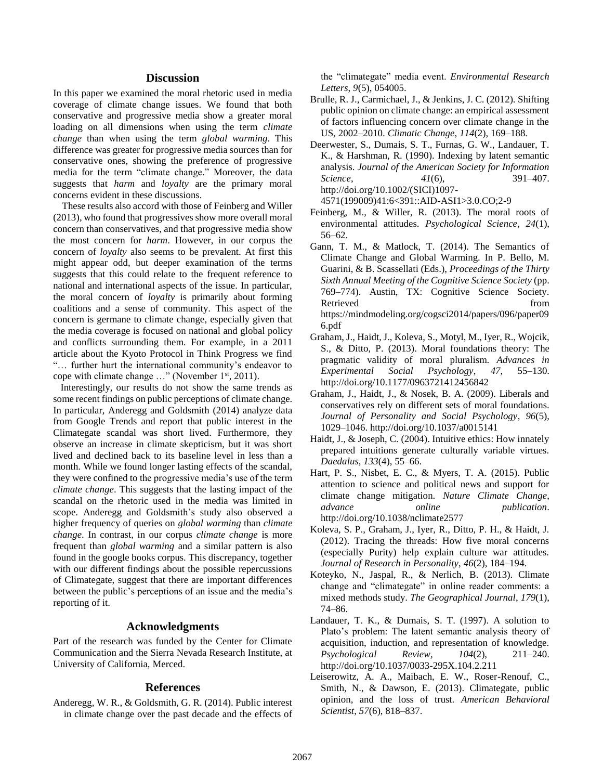#### **Discussion**

In this paper we examined the moral rhetoric used in media coverage of climate change issues. We found that both conservative and progressive media show a greater moral loading on all dimensions when using the term *climate change* than when using the term *global warming*. This difference was greater for progressive media sources than for conservative ones, showing the preference of progressive media for the term "climate change." Moreover, the data suggests that *harm* and *loyalty* are the primary moral concerns evident in these discussions.

These results also accord with those of Feinberg and Willer (2013), who found that progressives show more overall moral concern than conservatives, and that progressive media show the most concern for *harm*. However, in our corpus the concern of *loyalty* also seems to be prevalent. At first this might appear odd, but deeper examination of the terms suggests that this could relate to the frequent reference to national and international aspects of the issue. In particular, the moral concern of *loyalty* is primarily about forming coalitions and a sense of community. This aspect of the concern is germane to climate change, especially given that the media coverage is focused on national and global policy and conflicts surrounding them. For example, in a 2011 article about the Kyoto Protocol in Think Progress we find "… further hurt the international community's endeavor to cope with climate change  $\ldots$ " (November 1<sup>st</sup>, 2011).

 Interestingly, our results do not show the same trends as some recent findings on public perceptions of climate change. In particular, Anderegg and Goldsmith (2014) analyze data from Google Trends and report that public interest in the Climategate scandal was short lived. Furthermore, they observe an increase in climate skepticism, but it was short lived and declined back to its baseline level in less than a month. While we found longer lasting effects of the scandal, they were confined to the progressive media's use of the term *climate change*. This suggests that the lasting impact of the scandal on the rhetoric used in the media was limited in scope. Anderegg and Goldsmith's study also observed a higher frequency of queries on *global warming* than *climate change*. In contrast, in our corpus *climate change* is more frequent than *global warming* and a similar pattern is also found in the google books corpus. This discrepancy, together with our different findings about the possible repercussions of Climategate, suggest that there are important differences between the public's perceptions of an issue and the media's reporting of it.

#### **Acknowledgments**

Part of the research was funded by the Center for Climate Communication and the Sierra Nevada Research Institute, at University of California, Merced.

#### **References**

Anderegg, W. R., & Goldsmith, G. R. (2014). Public interest in climate change over the past decade and the effects of the "climategate" media event. *Environmental Research Letters*, *9*(5), 054005.

- Brulle, R. J., Carmichael, J., & Jenkins, J. C. (2012). Shifting public opinion on climate change: an empirical assessment of factors influencing concern over climate change in the US, 2002–2010. *Climatic Change*, *114*(2), 169–188.
- Deerwester, S., Dumais, S. T., Furnas, G. W., Landauer, T. K., & Harshman, R. (1990). Indexing by latent semantic analysis. *Journal of the American Society for Information Science*, *41*(6), 391–407. http://doi.org/10.1002/(SICI)1097-

4571(199009)41:6<391::AID-ASI1>3.0.CO;2-9

- Feinberg, M., & Willer, R. (2013). The moral roots of environmental attitudes. *Psychological Science*, *24*(1), 56–62.
- Gann, T. M., & Matlock, T. (2014). The Semantics of Climate Change and Global Warming. In P. Bello, M. Guarini, & B. Scassellati (Eds.), *Proceedings of the Thirty Sixth Annual Meeting of the Cognitive Science Society* (pp. 769–774). Austin, TX: Cognitive Science Society. Retrieved from the state of  $\sim$ https://mindmodeling.org/cogsci2014/papers/096/paper09 6.pdf
- Graham, J., Haidt, J., Koleva, S., Motyl, M., Iyer, R., Wojcik, S., & Ditto, P. (2013). Moral foundations theory: The pragmatic validity of moral pluralism. *Advances in Experimental Social Psychology*, *47*, 55–130. http://doi.org/10.1177/0963721412456842
- Graham, J., Haidt, J., & Nosek, B. A. (2009). Liberals and conservatives rely on different sets of moral foundations. *Journal of Personality and Social Psychology*, *96*(5), 1029–1046. http://doi.org/10.1037/a0015141
- Haidt, J., & Joseph, C. (2004). Intuitive ethics: How innately prepared intuitions generate culturally variable virtues. *Daedalus*, *133*(4), 55–66.
- Hart, P. S., Nisbet, E. C., & Myers, T. A. (2015). Public attention to science and political news and support for climate change mitigation. *Nature Climate Change*, *advance online publication*. http://doi.org/10.1038/nclimate2577
- Koleva, S. P., Graham, J., Iyer, R., Ditto, P. H., & Haidt, J. (2012). Tracing the threads: How five moral concerns (especially Purity) help explain culture war attitudes. *Journal of Research in Personality*, *46*(2), 184–194.
- Koteyko, N., Jaspal, R., & Nerlich, B. (2013). Climate change and "climategate" in online reader comments: a mixed methods study. *The Geographical Journal*, *179*(1), 74–86.
- Landauer, T. K., & Dumais, S. T. (1997). A solution to Plato's problem: The latent semantic analysis theory of acquisition, induction, and representation of knowledge. *Psychological Review*, *104*(2), 211–240. http://doi.org/10.1037/0033-295X.104.2.211
- Leiserowitz, A. A., Maibach, E. W., Roser-Renouf, C., Smith, N., & Dawson, E. (2013). Climategate, public opinion, and the loss of trust. *American Behavioral Scientist*, *57*(6), 818–837.